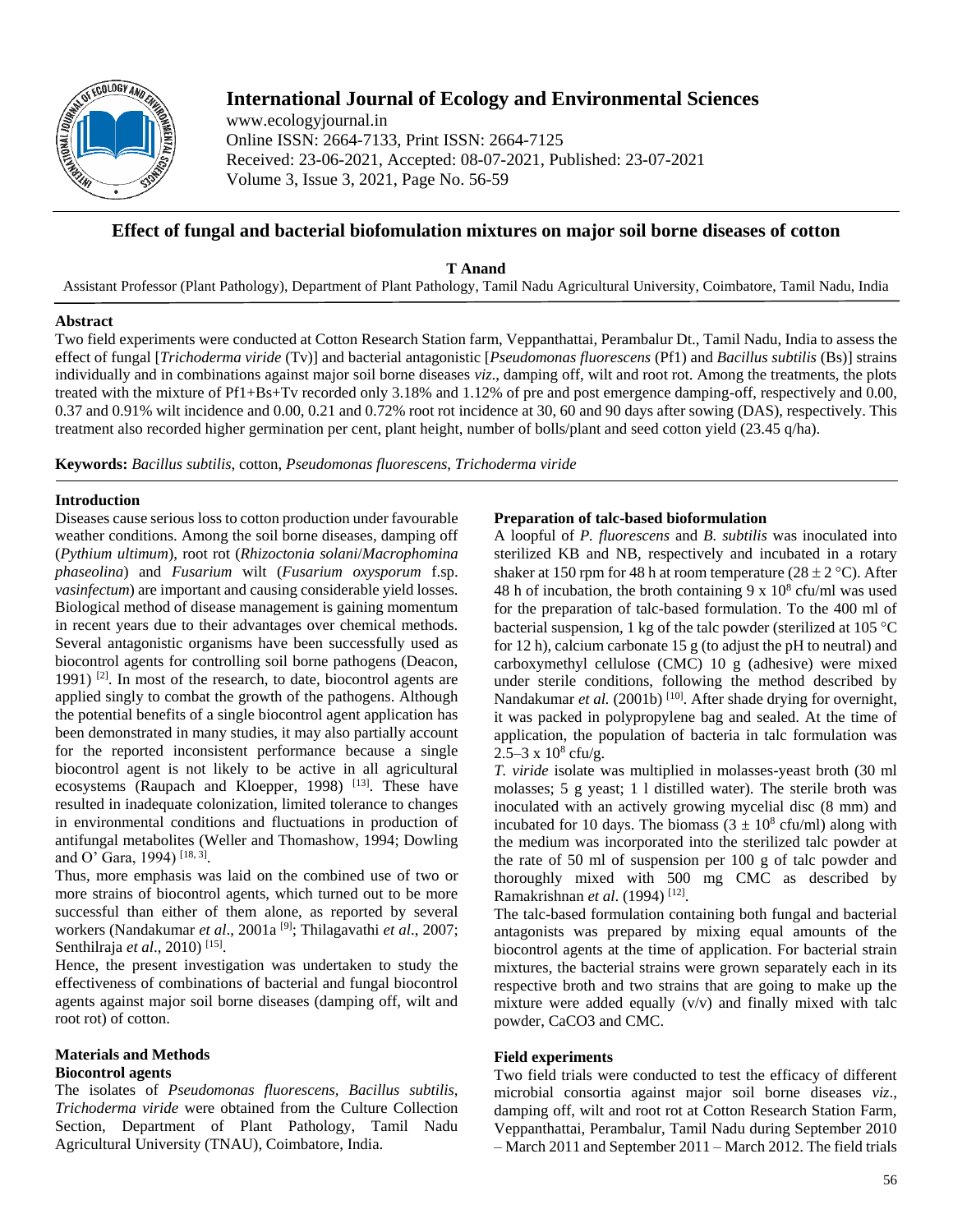

# **International Journal of Ecology and Environmental Sciences**

www.ecologyjournal.in Online ISSN: 2664-7133, Print ISSN: 2664-7125 Received: 23-06-2021, Accepted: 08-07-2021, Published: 23-07-2021 Volume 3, Issue 3, 2021, Page No. 56-59

## **Effect of fungal and bacterial biofomulation mixtures on major soil borne diseases of cotton**

**T Anand** 

Assistant Professor (Plant Pathology), Department of Plant Pathology, Tamil Nadu Agricultural University, Coimbatore, Tamil Nadu, India

## **Abstract**

Two field experiments were conducted at Cotton Research Station farm, Veppanthattai, Perambalur Dt., Tamil Nadu, India to assess the effect of fungal [*Trichoderma viride* (Tv)] and bacterial antagonistic [*Pseudomonas fluorescens* (Pf1) and *Bacillus subtilis* (Bs)] strains individually and in combinations against major soil borne diseases *viz*., damping off, wilt and root rot. Among the treatments, the plots treated with the mixture of Pf1+Bs+Tv recorded only 3.18% and 1.12% of pre and post emergence damping-off, respectively and 0.00, 0.37 and 0.91% wilt incidence and 0.00, 0.21 and 0.72% root rot incidence at 30, 60 and 90 days after sowing (DAS), respectively. This treatment also recorded higher germination per cent, plant height, number of bolls/plant and seed cotton yield (23.45 q/ha).

**Keywords:** *Bacillus subtilis*, cotton, *Pseudomonas fluorescens*, *Trichoderma viride*

## **Introduction**

Diseases cause serious loss to cotton production under favourable weather conditions. Among the soil borne diseases, damping off (*Pythium ultimum*), root rot (*Rhizoctonia solani*/*Macrophomina phaseolina*) and *Fusarium* wilt (*Fusarium oxysporum* f.sp. *vasinfectum*) are important and causing considerable yield losses. Biological method of disease management is gaining momentum in recent years due to their advantages over chemical methods. Several antagonistic organisms have been successfully used as biocontrol agents for controlling soil borne pathogens (Deacon, 1991) <sup>[2]</sup>. In most of the research, to date, biocontrol agents are applied singly to combat the growth of the pathogens. Although the potential benefits of a single biocontrol agent application has been demonstrated in many studies, it may also partially account for the reported inconsistent performance because a single biocontrol agent is not likely to be active in all agricultural ecosystems (Raupach and Kloepper, 1998) <sup>[13]</sup>. These have resulted in inadequate colonization, limited tolerance to changes in environmental conditions and fluctuations in production of antifungal metabolites (Weller and Thomashow, 1994; Dowling and O' Gara, 1994)<sup>[18, 3]</sup>.

Thus, more emphasis was laid on the combined use of two or more strains of biocontrol agents, which turned out to be more successful than either of them alone, as reported by several workers (Nandakumar *et al.*, 2001a<sup>[9]</sup>; Thilagavathi *et al.*, 2007; Senthilraja *et al.*, 2010)<sup>[15]</sup>.

Hence, the present investigation was undertaken to study the effectiveness of combinations of bacterial and fungal biocontrol agents against major soil borne diseases (damping off, wilt and root rot) of cotton.

#### **Materials and Methods Biocontrol agents**

The isolates of *Pseudomonas fluorescens, Bacillus subtilis*, *Trichoderma viride* were obtained from the Culture Collection Section, Department of Plant Pathology, Tamil Nadu Agricultural University (TNAU), Coimbatore, India.

## **Preparation of talc-based bioformulation**

A loopful of *P. fluorescens* and *B. subtilis* was inoculated into sterilized KB and NB, respectively and incubated in a rotary shaker at 150 rpm for 48 h at room temperature ( $28 \pm 2$  °C). After 48 h of incubation, the broth containing  $9 \times 10^8$  cfu/ml was used for the preparation of talc-based formulation. To the 400 ml of bacterial suspension, 1 kg of the talc powder (sterilized at  $105^{\circ}$ C for 12 h), calcium carbonate 15 g (to adjust the pH to neutral) and carboxymethyl cellulose (CMC) 10 g (adhesive) were mixed under sterile conditions, following the method described by Nandakumar *et al.* (2001b)<sup>[10]</sup>. After shade drying for overnight, it was packed in polypropylene bag and sealed. At the time of application, the population of bacteria in talc formulation was  $2.5-3 \times 10^8$  cfu/g.

*T. viride* isolate was multiplied in molasses-yeast broth (30 ml molasses; 5 g yeast; 1 l distilled water). The sterile broth was inoculated with an actively growing mycelial disc (8 mm) and incubated for 10 days. The biomass  $(3 \pm 10^8 \text{ cftu/ml})$  along with the medium was incorporated into the sterilized talc powder at the rate of 50 ml of suspension per 100 g of talc powder and thoroughly mixed with 500 mg CMC as described by Ramakrishnan *et al.* (1994)<sup>[12]</sup>.

The talc-based formulation containing both fungal and bacterial antagonists was prepared by mixing equal amounts of the biocontrol agents at the time of application. For bacterial strain mixtures, the bacterial strains were grown separately each in its respective broth and two strains that are going to make up the mixture were added equally (v/v) and finally mixed with talc powder, CaCO3 and CMC.

#### **Field experiments**

Two field trials were conducted to test the efficacy of different microbial consortia against major soil borne diseases *viz*., damping off, wilt and root rot at Cotton Research Station Farm, Veppanthattai, Perambalur, Tamil Nadu during September 2010 – March 2011 and September 2011 – March 2012. The field trials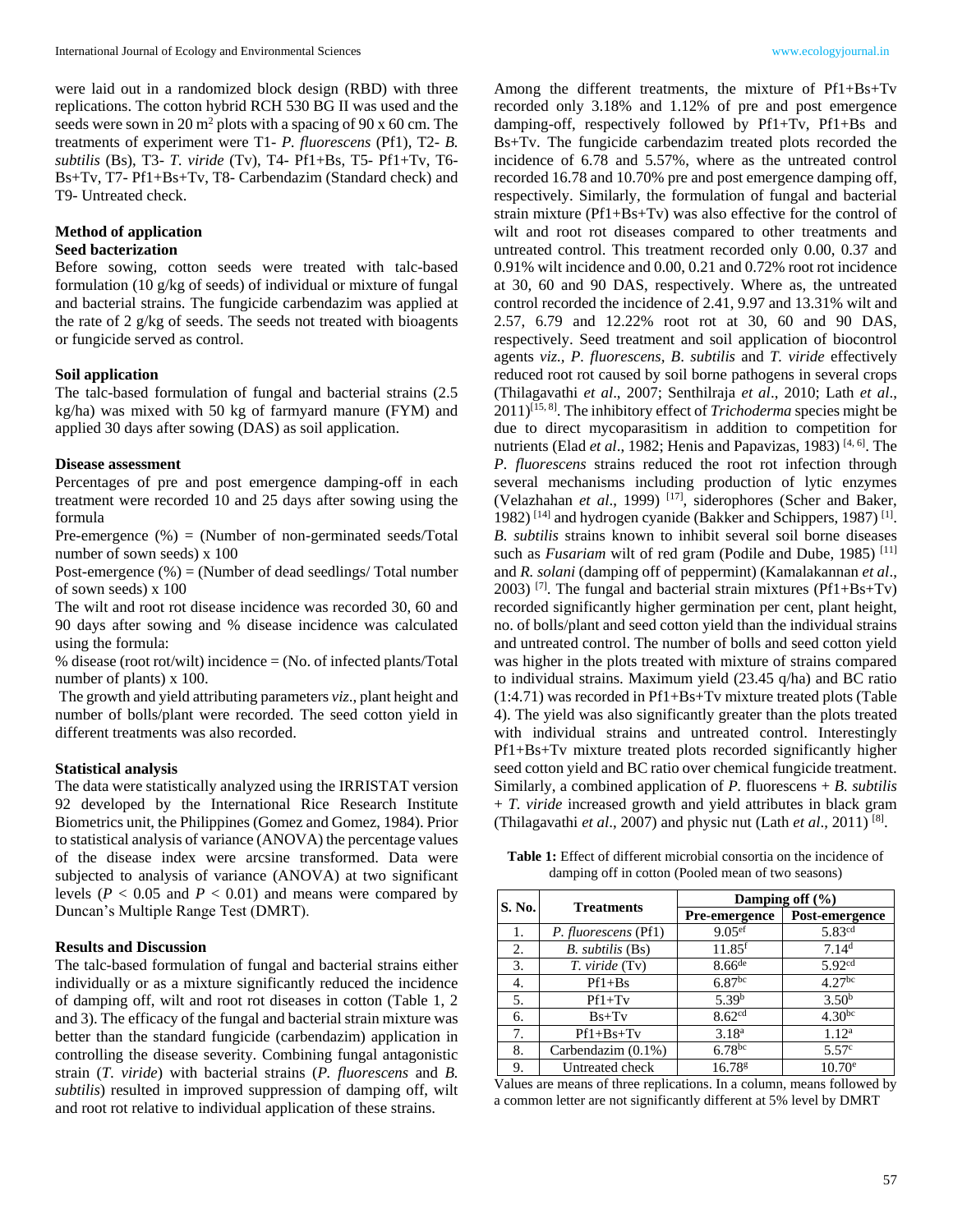were laid out in a randomized block design (RBD) with three replications. The cotton hybrid RCH 530 BG II was used and the seeds were sown in 20  $m^2$  plots with a spacing of 90 x 60 cm. The treatments of experiment were T1- *P. fluorescens* (Pf1), T2- *B. subtilis* (Bs), T3- *T. viride* (Tv), T4- Pf1+Bs, T5- Pf1+Tv, T6- Bs+Tv, T7- Pf1+Bs+Tv, T8- Carbendazim (Standard check) and T9- Untreated check.

#### **Method of application**

#### **Seed bacterization**

Before sowing, cotton seeds were treated with talc-based formulation (10 g/kg of seeds) of individual or mixture of fungal and bacterial strains. The fungicide carbendazim was applied at the rate of 2 g/kg of seeds. The seeds not treated with bioagents or fungicide served as control.

### **Soil application**

The talc-based formulation of fungal and bacterial strains (2.5 kg/ha) was mixed with 50 kg of farmyard manure (FYM) and applied 30 days after sowing (DAS) as soil application.

#### **Disease assessment**

Percentages of pre and post emergence damping-off in each treatment were recorded 10 and 25 days after sowing using the formula

Pre-emergence (%) = (Number of non-germinated seeds/Total number of sown seeds) x 100

Post-emergence  $(\%)$  = (Number of dead seedlings/ Total number of sown seeds) x 100

The wilt and root rot disease incidence was recorded 30, 60 and 90 days after sowing and % disease incidence was calculated using the formula:

% disease (root rot/wilt) incidence = (No. of infected plants/Total number of plants) x 100.

 The growth and yield attributing parameters *viz*., plant height and number of bolls/plant were recorded. The seed cotton yield in different treatments was also recorded.

### **Statistical analysis**

The data were statistically analyzed using the IRRISTAT version 92 developed by the International Rice Research Institute Biometrics unit, the Philippines (Gomez and Gomez, 1984). Prior to statistical analysis of variance (ANOVA) the percentage values of the disease index were arcsine transformed. Data were subjected to analysis of variance (ANOVA) at two significant levels ( $P < 0.05$  and  $P < 0.01$ ) and means were compared by Duncan's Multiple Range Test (DMRT).

#### **Results and Discussion**

The talc-based formulation of fungal and bacterial strains either individually or as a mixture significantly reduced the incidence of damping off, wilt and root rot diseases in cotton (Table 1, 2 and 3). The efficacy of the fungal and bacterial strain mixture was better than the standard fungicide (carbendazim) application in controlling the disease severity. Combining fungal antagonistic strain (*T. viride*) with bacterial strains (*P. fluorescens* and *B. subtilis*) resulted in improved suppression of damping off, wilt and root rot relative to individual application of these strains.

Among the different treatments, the mixture of Pf1+Bs+Tv recorded only 3.18% and 1.12% of pre and post emergence damping-off, respectively followed by Pf1+Tv, Pf1+Bs and Bs+Tv. The fungicide carbendazim treated plots recorded the incidence of 6.78 and 5.57%, where as the untreated control recorded 16.78 and 10.70% pre and post emergence damping off, respectively. Similarly, the formulation of fungal and bacterial strain mixture (Pf1+Bs+Tv) was also effective for the control of wilt and root rot diseases compared to other treatments and untreated control. This treatment recorded only 0.00, 0.37 and 0.91% wilt incidence and 0.00, 0.21 and 0.72% root rot incidence at 30, 60 and 90 DAS, respectively. Where as, the untreated control recorded the incidence of 2.41, 9.97 and 13.31% wilt and 2.57, 6.79 and 12.22% root rot at 30, 60 and 90 DAS, respectively. Seed treatment and soil application of biocontrol agents *viz., P. fluorescens, B*. *subtilis* and *T. viride* effectively reduced root rot caused by soil borne pathogens in several crops (Thilagavathi *et al*., 2007; Senthilraja *et al*., 2010; Lath *et al*., 2011)[15, 8]. The inhibitory effect of *Trichoderma* species might be due to direct mycoparasitism in addition to competition for nutrients (Elad *et al.*, 1982; Henis and Papavizas, 1983)<sup>[4, 6]</sup>. The *P. fluorescens* strains reduced the root rot infection through several mechanisms including production of lytic enzymes (Velazhahan *et al*., 1999) [17], siderophores (Scher and Baker, 1982)<sup>[14]</sup> and hydrogen cyanide (Bakker and Schippers, 1987)<sup>[1]</sup>. *B. subtilis* strains known to inhibit several soil borne diseases such as *Fusariam* wilt of red gram (Podile and Dube, 1985)<sup>[11]</sup> and *R. solani* (damping off of peppermint) (Kamalakannan *et al*., 2003) <sup>[7]</sup>. The fungal and bacterial strain mixtures ( $Pf1+Bs+Tv$ ) recorded significantly higher germination per cent, plant height, no. of bolls/plant and seed cotton yield than the individual strains and untreated control. The number of bolls and seed cotton yield was higher in the plots treated with mixture of strains compared to individual strains. Maximum yield (23.45 q/ha) and BC ratio (1:4.71) was recorded in Pf1+Bs+Tv mixture treated plots (Table 4). The yield was also significantly greater than the plots treated with individual strains and untreated control. Interestingly Pf1+Bs+Tv mixture treated plots recorded significantly higher seed cotton yield and BC ratio over chemical fungicide treatment. Similarly, a combined application of *P.* fluorescens + *B. subtilis*  + *T. viride* increased growth and yield attributes in black gram (Thilagavathi *et al*., 2007) and physic nut (Lath *et al*., 2011) [8] .

**Table 1:** Effect of different microbial consortia on the incidence of damping off in cotton (Pooled mean of two seasons)

| S. No. | <b>Treatments</b>    | Damping off $(\% )$  |                    |  |  |
|--------|----------------------|----------------------|--------------------|--|--|
|        |                      | <b>Pre-emergence</b> | Post-emergence     |  |  |
| 1.     | P. fluorescens (Pf1) | 9.05 <sup>ef</sup>   | 5.83 <sup>cd</sup> |  |  |
| 2.     | $B.$ subtilis $(Bs)$ | $11.85$ <sup>f</sup> | 7.14 <sup>d</sup>  |  |  |
| 3.     | T. viride (Tv)       | $8.66$ de            | 5.92 <sup>cd</sup> |  |  |
| 4.     | $Pf1+Bs$             | 6.87 <sup>bc</sup>   | $4.27^{bc}$        |  |  |
| 5.     | $Pf1+Tv$             | 5.39 <sup>b</sup>    | 3.50 <sup>b</sup>  |  |  |
| 6.     | $Bs+Tv$              | 8.62 <sup>cd</sup>   | $4.30^{bc}$        |  |  |
| 7.     | $Pf1+Bs+Tv$          | 3.18 <sup>a</sup>    | 1.12 <sup>a</sup>  |  |  |
| 8.     | Carbendazim (0.1%)   | $6.78$ bc            | 5.57 <sup>c</sup>  |  |  |
| 9.     | Untreated check      | 16.78 <sup>g</sup>   | $10.70^{\circ}$    |  |  |

Values are means of three replications. In a column, means followed by a common letter are not significantly different at 5% level by DMRT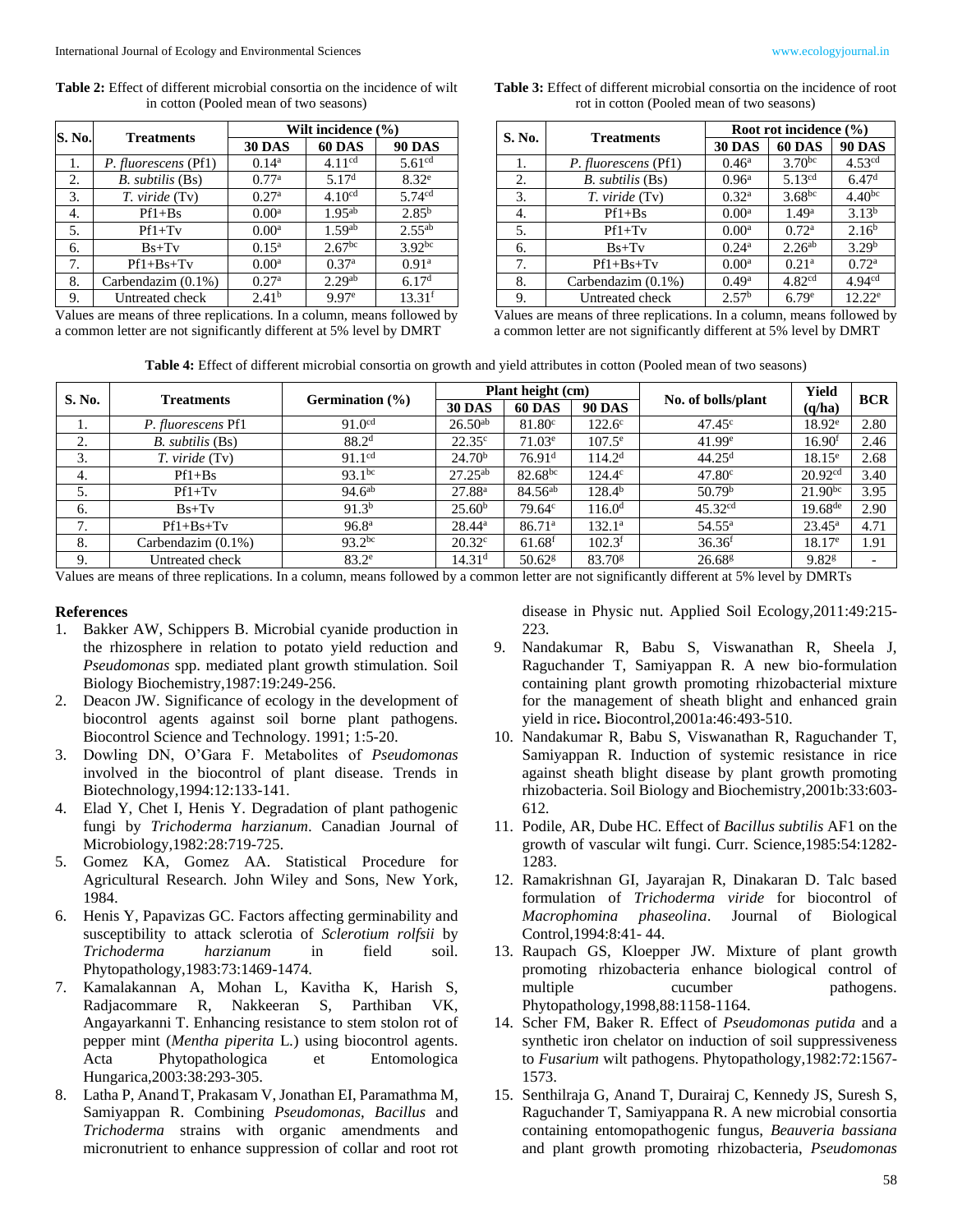**Table 2:** Effect of different microbial consortia on the incidence of wilt in cotton (Pooled mean of two seasons)

| S. No. | <b>Treatments</b>     | Wilt incidence (%) |                    |                    |  |  |
|--------|-----------------------|--------------------|--------------------|--------------------|--|--|
|        |                       | <b>30 DAS</b>      | 60 DAS             | <b>90 DAS</b>      |  |  |
| 1.     | P. fluorescens (Pf1)  | $0.14^a$           | 4.11 $^{cd}$       | 5.61 <sup>cd</sup> |  |  |
| 2.     | B. subtilis (Bs)      | 0.77 <sup>a</sup>  | 5.17 <sup>d</sup>  | $8.32^e$           |  |  |
| 3.     | T. viride (Tv)        | 0.27 <sup>a</sup>  | 4.10 <sup>cd</sup> | 5.74cd             |  |  |
| 4.     | $Pf1+Bs$              | 0.00 <sup>a</sup>  | $1.95^{ab}$        | $2.85^{b}$         |  |  |
| 5.     | $Pf1+Tv$              | 0.00 <sup>a</sup>  | 1.59 <sup>ab</sup> | $2.55^{ab}$        |  |  |
| 6.     | $Bs+Tv$               | $0.15^{\rm a}$     | 2.67 <sup>bc</sup> | 3.92 <sup>bc</sup> |  |  |
| 7.     | $Pf1+Bs+Tv$           | 0.00 <sup>a</sup>  | 0.37 <sup>a</sup>  | 0.91 <sup>a</sup>  |  |  |
| 8.     | Carbendazim $(0.1\%)$ | 0.27 <sup>a</sup>  | 2.29 <sup>ab</sup> | 6.17 <sup>d</sup>  |  |  |
| 9.     | Untreated check       | 2.41 <sup>b</sup>  | 9.97 <sup>e</sup>  | 13.31 <sup>f</sup> |  |  |

Values are means of three replications. In a column, means followed by a common letter are not significantly different at 5% level by DMRT

| <b>Table 3:</b> Effect of different microbial consortia on the incidence of root |
|----------------------------------------------------------------------------------|
| rot in cotton (Pooled mean of two seasons)                                       |

| S. No. | <b>Treatments</b>    | Root rot incidence $(\% )$ |                    |                    |  |
|--------|----------------------|----------------------------|--------------------|--------------------|--|
|        |                      | <b>30 DAS</b>              | <b>60 DAS</b>      | <b>90 DAS</b>      |  |
| 1.     | P. fluorescens (Pf1) | $0.46^{\rm a}$             | $3.70^{bc}$        | 4.53 <sup>cd</sup> |  |
| 2.     | B. subtilis (Bs)     | 0.96 <sup>a</sup>          | $5.13^{cd}$        | 6.47 <sup>d</sup>  |  |
| 3.     | T. viride (Tv)       | 0.32 <sup>a</sup>          | $3.68^{bc}$        | 4.40 <sup>bc</sup> |  |
| 4.     | $Pf1+Bs$             | $0.00^{\rm a}$             | 1.49 <sup>a</sup>  | 3.13 <sup>b</sup>  |  |
| 5.     | $Pf1+Tv$             | $0.00^a$                   | 0.72 <sup>a</sup>  | 2.16 <sup>b</sup>  |  |
| 6.     | $Bs+Tv$              | $0.24^{\rm a}$             | 2.26 <sup>ab</sup> | 3.29 <sup>b</sup>  |  |
| 7.     | $Pf1+Bs+Tv$          | $0.00^a$                   | 0.21 <sup>a</sup>  | 0.72 <sup>a</sup>  |  |
| 8.     | Carbendazim (0.1%)   | 0.49 <sup>a</sup>          | 4.82 <sup>cd</sup> | 4.94 <sup>cd</sup> |  |
| 9.     | Untreated check      | 2.57 <sup>b</sup>          | 6.79 <sup>e</sup>  | $12.22^e$          |  |
|        |                      |                            |                    |                    |  |

Values are means of three replications. In a column, means followed by a common letter are not significantly different at 5% level by DMRT

| <b>Table 4:</b> Effect of different microbial consortia on growth and yield attributes in cotton (Pooled mean of two seasons) |  |
|-------------------------------------------------------------------------------------------------------------------------------|--|
|-------------------------------------------------------------------------------------------------------------------------------|--|

| S. No. | <b>Treatments</b>  | <b>Germination</b> (%) | Plant height (cm)  |                      |                      |                      | Yield               | <b>BCR</b> |
|--------|--------------------|------------------------|--------------------|----------------------|----------------------|----------------------|---------------------|------------|
|        |                    |                        | <b>30 DAS</b>      | <b>60 DAS</b>        | <b>90 DAS</b>        | No. of bolls/plant   | (q/ha)              |            |
| 1.     | P. fluorescens Pf1 | 91.0 <sup>cd</sup>     | $26.50^{ab}$       | 81.80 <sup>c</sup>   | $122.6^\circ$        | $47.45^{\circ}$      | $18.92^e$           | 2.80       |
| 2.     | B. subtilis (Bs)   | 88.2 <sup>d</sup>      | $22.35^{\circ}$    | $71.03^e$            | $107.5^{\circ}$      | 41.99e               | 16.90 <sup>f</sup>  | 2.46       |
| 3.     | T. viride (Tv)     | 91.1 <sup>cd</sup>     | 24.70 <sup>b</sup> | 76.91 <sup>d</sup>   | 114.2 <sup>d</sup>   | 44.25 <sup>d</sup>   | $18.15^e$           | 2.68       |
| 4.     | $Pf1+Bs$           | $93.1^{bc}$            | $27.25^{ab}$       | $82.68^{bc}$         | $124.4^{\circ}$      | 47.80 <sup>c</sup>   | 20.92 <sup>cd</sup> | 3.40       |
| 5.     | $Pf1+Tv$           | $94.6^{ab}$            | 27.88 <sup>a</sup> | $84.56^{ab}$         | $128.4^{b}$          | 50.79 <sup>b</sup>   | $21.90^{bc}$        | 3.95       |
| 6.     | $Bs+Tv$            | 91.3 <sup>b</sup>      | 25.60 <sup>b</sup> | 79.64c               | 116.0 <sup>d</sup>   | 45.32 <sup>cd</sup>  | $19.68^{de}$        | 2.90       |
| 7.     | $Pf1+Bs+Tv$        | 96.8 <sup>a</sup>      | $28.44^{\circ}$    | 86.71 <sup>a</sup>   | $132.1^{\circ}$      | $54.55^{\rm a}$      | $23.45^{\rm a}$     | 4.71       |
| 8.     | Carbendazim (0.1%) | $93.2^{bc}$            | 20.32 <sup>c</sup> | $61.68$ <sup>f</sup> | $102.3$ <sup>f</sup> | 36.36 <sup>f</sup>   | $18.17^e$           | 1.91       |
| 9.     | Untreated check    | 83.2 <sup>e</sup>      | 14.31 <sup>d</sup> | $50.62$ <sup>g</sup> | $83.70$ <sup>g</sup> | $26.68$ <sup>g</sup> | $9.82$ <sup>g</sup> |            |

Values are means of three replications. In a column, means followed by a common letter are not significantly different at 5% level by DMRTs

#### **References**

- 1. Bakker AW, Schippers B. Microbial cyanide production in the rhizosphere in relation to potato yield reduction and *Pseudomonas* spp. mediated plant growth stimulation. Soil Biology Biochemistry,1987:19:249-256.
- 2. Deacon JW. Significance of ecology in the development of biocontrol agents against soil borne plant pathogens. Biocontrol Science and Technology. 1991; 1:5-20.
- 3. Dowling DN, O'Gara F. Metabolites of *Pseudomonas* involved in the biocontrol of plant disease. Trends in Biotechnology,1994:12:133-141.
- 4. Elad Y, Chet I, Henis Y. Degradation of plant pathogenic fungi by *Trichoderma harzianum*. Canadian Journal of Microbiology,1982:28:719-725.
- 5. Gomez KA, Gomez AA. Statistical Procedure for Agricultural Research. John Wiley and Sons, New York, 1984.
- 6. Henis Y, Papavizas GC. Factors affecting germinability and susceptibility to attack sclerotia of *Sclerotium rolfsii* by *Trichoderma harzianum* in field soil. Phytopathology,1983:73:1469-1474.
- 7. Kamalakannan A, Mohan L, Kavitha K, Harish S, Radjacommare R, Nakkeeran S, Parthiban VK, Angayarkanni T. Enhancing resistance to stem stolon rot of pepper mint (*Mentha piperita* L*.*) using biocontrol agents. Acta Phytopathologica et Entomologica Hungarica,2003:38:293-305.
- 8. Latha P, AnandT, Prakasam V, Jonathan EI, Paramathma M, Samiyappan R. Combining *Pseudomonas*, *Bacillus* and *Trichoderma* strains with organic amendments and micronutrient to enhance suppression of collar and root rot

disease in Physic nut. Applied Soil Ecology,2011:49:215- 223.

- 9. Nandakumar R, Babu S, Viswanathan R, Sheela J, Raguchander T, Samiyappan R. A new bio-formulation containing plant growth promoting rhizobacterial mixture for the management of sheath blight and enhanced grain yield in rice**.** Biocontrol,2001a:46:493-510.
- 10. Nandakumar R, Babu S, Viswanathan R, Raguchander T, Samiyappan R. Induction of systemic resistance in rice against sheath blight disease by plant growth promoting rhizobacteria. Soil Biology and Biochemistry,2001b:33:603- 612.
- 11. Podile, AR, Dube HC. Effect of *Bacillus subtilis* AF1 on the growth of vascular wilt fungi. Curr. Science,1985:54:1282- 1283.
- 12. Ramakrishnan GI, Jayarajan R, Dinakaran D. Talc based formulation of *Trichoderma viride* for biocontrol of *Macrophomina phaseolina*. Journal of Biological Control,1994:8:41- 44.
- 13. Raupach GS, Kloepper JW. Mixture of plant growth promoting rhizobacteria enhance biological control of multiple cucumber pathogens. Phytopathology,1998,88:1158-1164.
- 14. Scher FM, Baker R. Effect of *Pseudomonas putida* and a synthetic iron chelator on induction of soil suppressiveness to *Fusarium* wilt pathogens. Phytopathology*,*1982:72:1567- 1573.
- 15. Senthilraja G, Anand T, Durairaj C, Kennedy JS, Suresh S, Raguchander T, Samiyappana R. A new microbial consortia containing entomopathogenic fungus, *Beauveria bassiana* and plant growth promoting rhizobacteria, *Pseudomonas*